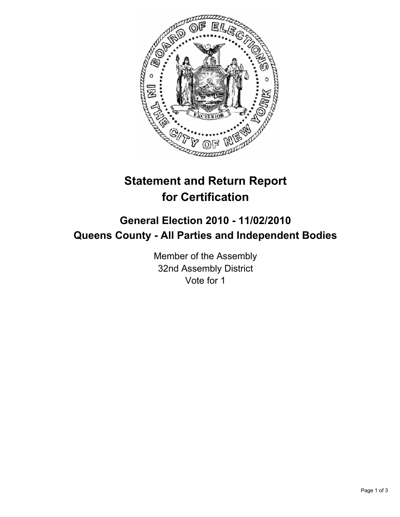

## **Statement and Return Report for Certification**

## **General Election 2010 - 11/02/2010 Queens County - All Parties and Independent Bodies**

Member of the Assembly 32nd Assembly District Vote for 1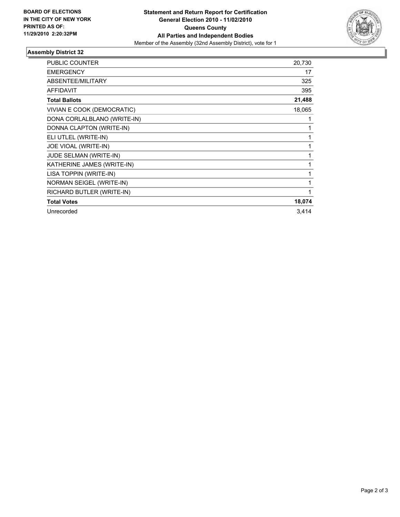

## **Assembly District 32**

| <b>PUBLIC COUNTER</b>       | 20,730 |
|-----------------------------|--------|
| <b>EMERGENCY</b>            | 17     |
| ABSENTEE/MILITARY           | 325    |
| <b>AFFIDAVIT</b>            | 395    |
| <b>Total Ballots</b>        | 21,488 |
| VIVIAN E COOK (DEMOCRATIC)  | 18,065 |
| DONA CORLALBLANO (WRITE-IN) | 1      |
| DONNA CLAPTON (WRITE-IN)    | 1      |
| ELI UTLEL (WRITE-IN)        | 1      |
| JOE VIOAL (WRITE-IN)        | 1      |
| JUDE SELMAN (WRITE-IN)      | 1      |
| KATHERINE JAMES (WRITE-IN)  | 1      |
| LISA TOPPIN (WRITE-IN)      | 1      |
| NORMAN SEIGEL (WRITE-IN)    | 1      |
| RICHARD BUTLER (WRITE-IN)   | 1      |
| <b>Total Votes</b>          | 18,074 |
| Unrecorded                  | 3,414  |